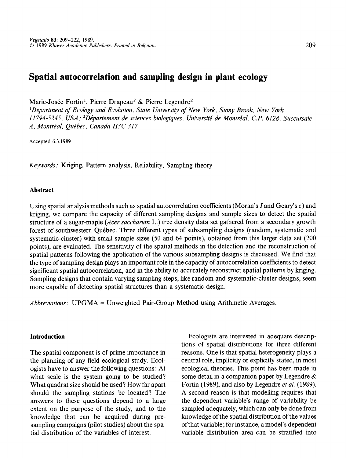# **Spatial autocorrelation and sampling design in plant ecology**

Marie-Josée Fortin<sup>1</sup>, Pierre Drapeau<sup>2</sup> & Pierre Legendre<sup>2</sup>

*1Department of Ecology and Evolution, State University of New York, Stony Brook, New York*  11794-5245, USA; <sup>2</sup>Département de sciences biologiques, Université de Montréal, C.P. 6128, Succursale *A, Montréal, Québec, Canada H3C 317* 

Accepted 6.3.1989

*Keywords:* Kriging, Pattern analysis, Reliability, Sampling theory

### **Abstract**

Using spatial analysis methods such as spatial autocorrelation coefficients (Moran's I and Geary's  $c$ ) and kriging, we compare the capacity of different sampling designs and sample sizes to detect the spatial structure of a sugar-maple *(Acer saccharum* L.) tree density data set gathered from a secondary growth forest of southwestern Québec. Three different types of subsampling designs (random, systematic and systematic-cluster) with small sample sizes (50 and 64 points), obtained from this larger data set (200 points), are evaluated. The sensitivity of the spatial methods in the detection and the reconstruction of spatial patterns following the application of the various subsampling designs is discussed. We find that the type of sampling design plays an important role in the capacity of autocorrelation coefficients to detect significant spatial autocorrelation, and in the ability to accurately reconstruct spatial patterns by kriging. Sampling designs that contain varying sampling steps, like random and systematic-cluster designs, seem more capable of detecting spatial structures than a systematic design.

*Abbreviations:* UPGMA = Unweighted Pair-Group Method using Arithmetic Averages.

### **Introduction**

The spatial component is of prime importance in the planning of any field ecological study. Ecologists have to answer the following questions: At what scale is the system going to be studied? What quadrat size should be used? How far apart should the sampling stations be located? The answers to these questions depend to a large extent on the purpose of the study, and to the knowledge that can be acquired during presampling campaigns (pilot studies) about the spatial distribution of the variables of interest.

Ecologists are interested in adequate descriptions of spatial distributions for three different reasons. One is that spatial heterogeneity plays a central role, implicitly or explicitly stated, in most ecological theories. This point has been made in some detail in a companion paper by Legendre & Fortin (1989), and also by Legendre *et aL* (1989). A second reason is that modelling requires that the dependent variable's range of variability be sampled adequately, which can only be done from knowledge of the spatial distribution of the values of that variable; for instance, a model's dependent variable distribution area can be stratified into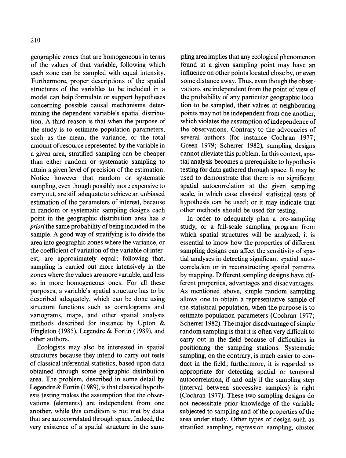geographic zones that are homogeneous in terms of the values of that variable, following which each zone can be sampled with equal intensity. Furthermore, proper descriptions of the spatial structures of the variables to be included in a model can help formulate or support hypotheses concerning possible causal mechanisms determining the dependent variable's spatial distribution. A third reason is that when the purpose of the study is to estimate population parameters, such as the mean, the variance, or the total amount of resource represented by the variable in a given area, stratified sampling can be cheaper than either random or systematic sampling to attain a given level of precision of the estimation. Notice however that random or systematic sampling, even though possibly more expensive to carry out, are still adequate to achieve an unbiased estimation of the parameters of interest, because in random or systematic sampling designs each point in the geographic distribution area has a *priori* the same probability of being included in the sample. A good way of stratifying is to divide the area into geographic zones where the variance, or the coefficient of variation of the variable of interest, are approximately equal; following that, sampling is carried out more intensively in the zones where the values are more variable, and less so in more homogeneous ones. For all these purposes, a variable's spatial structure has to be described adequately, which can be done using structure functions such as correlograms and variograms, maps, and other spatial analysis methods described for instance by Upton & Fingleton (1985), Legendre & Fortin (1989), and other authors.

Ecologists may also be interested in spatial structures because they intend to carry out tests of classical inferential statistics, based upon data obtained through some geographic distribution area. The problem, described in some detail by Legendre & Fortin (1989), is that classical hypothesis testing makes the assumption that the observations (elements) are independent from one another, while this condition is not met by data that are autocorrelated through space. Indeed, the very existence of a spatial structure in the sam-

piing area implies that any ecological phenomenon found at a given sampling point may have an influence on other points located close by, or even some distance away. Thus, even though the observations are independent from the point of view of the probability of any particular geographic location to be sampled, their values at neighbouring points may not be independent from one another, which violates the assumption of independence of the observations. Contrary to the advocacies of several authors (for instance Cochran 1977; Green 1979; Scherrer 1982), sampling designs cannot alleviate this problem. In this context, spatial analysis becomes a prerequisite to hypothesis testing for data gathered through space. It may be used to demonstrate that there is no significant spatial autocorrelation at the given sampling scale, in which case classical statistical tests of hypothesis can be used; or it may indicate that other methods should be used for testing.

In order to adequately plan a pre-sampling study, or a full-scale sampling program from which spatial structures will be analyzed, it is essential to know how the properties of different sampling designs can affect the sensitivity of spatial analyses in detecting significant spatial autocorrelation or in reconstructing spatial patterns by mapping. Different sampling designs have different properties, advantages and disadvantages. As mentioned above, simple random sampling allows one to obtain a representative sample of the statistical population, when the purpose is to estimate population parameters (Cochran 1977; Scherrer 1982). The major disadvantage of simple random sampling is that it is often very difficult to carry out in the field because of difficulties in positioning the sampling stations. Systematic sampling, on the contrary, is much easier to conduct in the field; furthermore, it is regarded as appropriate for detecting spatial or temporal autocorrelation, if and only if the sampling step (interval between successive samples) is right (Cochran 1977). These two sampling designs do not necessitate prior knowledge of the variable subjected to sampling and of the properties of the area under study. Other types of design such as stratified sampling, regression sampling, cluster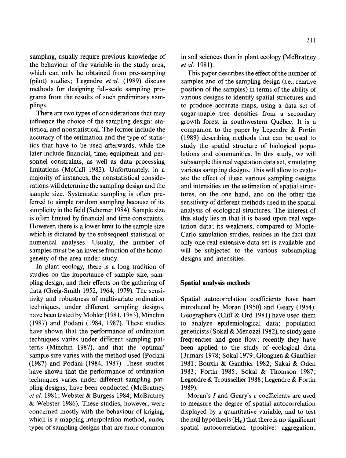sampling, usually require previous knowledge of the behaviour of the variable in the study area, which can only be obtained from pre-sampling (pilot) studies; Legendre *etal.* (1989) discuss methods for designing full-scale sampling programs from the results of such preliminary samplings.

There are two types of considerations that may influence the choice of the sampling design: statistical and nonstatistical. The former include the accuracy of the estimation and the type of statistics that have to be used afterwards, while the later include financial, time, equipment and personnel constraints, as well as data processing limitations (McCall 1982). Unfortunately, in a majority of instances, the nonstatistical considerations will determine the sampling design and the sample size. Systematic sampling is often preferred to simple random sampling because of its simplicity in the field (Scherrer 1984). Sample size is often limited by financial and time constraints. However, there is a lower limit to the sample size which is dictated by the subsequent statistical or numerical analyses. Usually, the number of samples must be an inverse function of the homogeneity of the area under study.

In plant ecology, there is a long tradition of studies on the importance of sample size, sampiing design, and their effects on the gathering of data (Greig-Smith 1952, 1964, 1979). The sensitivity and robustness of multivariate ordination techniques, under different sampling designs, have been tested by Mohler (1981, 1983), Minchin (1987) and Podani (1984, 1987). These studies have shown that the performance of ordination techniques varies under different sampling patterns (Minchin 1987), and that the 'optimal' sample size varies with the method used (Podani (1987) and Podani (1984, 1987). These studies have shown that the performance of ordination techniques varies under different sampling patpiing designs, have been conducted (McBratney et al. 1981; Webster & Burgess 1984; McBratney & Webster 1986). These studies, however, were concerned mostly with the behaviour of kriging, which is a mapping interpolation method, under types of sampling designs that are more common

in soil sciences than in plant ecology (McBratney *etaL* 1981).

This paper describes the effect of the number of samples and of the sampling design (i.e., relative position of the samples) in terms of the ability of various designs to identify spatial structures and to produce accurate maps, using a data set of sugar-maple tree densities from a secondary growth forest in southwestern Québec. It is a companion to the paper by Legendre & Fortin (1989) describing methods that can be used to study the spatial structure of biological populations and communities. In this study, we will subsample this real vegetation data set, simulating various sampling designs. This will allow to evaluate the effect of these various sampling designs and intensities on the estimation of spatial structures, on the one hand, and on the other the sensitivity of different methods used in the spatial analysis of ecological structures. The interest of this study lies in that it is based upon real vegetation data; its weakness, compared to Monte-Carlo simulation studies, resides in the fact that only one real extensive data set is available and will be subjected to the various subsampling designs and intensities.

## **Spatial analysis methods**

Spatial autocorrelation coefficients have been introduced by Moran (1950) and Geary (1954). Geographers (Cliff & Ord 1981) have used them to analyze epidemiological data; population geneticists (Sokal & Menozzi 1982), to study gene frequencies and gene flow; recently they have been applied to the study of ecological data (Jumars 1978; Sokal 1979; Gloaguen & Gauthier 1981; Bouxin & Gauthier 1982; Sakai & Oden 1983; Fortin 1985; Sokal & Thomson 1987; Legendre & Troussellier 1988; Legendre & Fortin 1989).

Moran's I and Geary's c coefficients are used to measure the degree of spatial autocorrelation displayed by a quantitative variable, and to test the null hypothesis  $(H_0)$  that there is no significant spatial autocorrelation (positive: aggregation;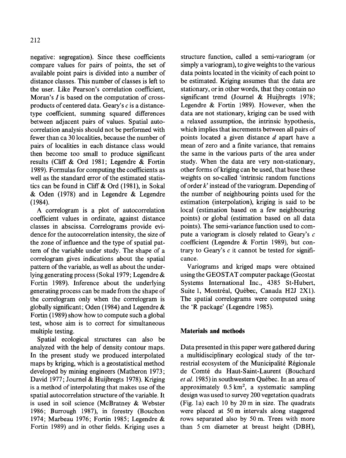negative: segregation). Since these coefficients compare values for pairs of points, the set of available point pairs is divided into a number of distance classes. This number of classes is left to the user. Like Pearson's correlation coefficient, Moran's  $I$  is based on the computation of crossproducts of centered data. Geary's  $c$  is a distancetype coefficient, summing squared differences between adjacent pairs of values. Spatial autocorrelation analysis should not be performed with fewer than ca 30 localities, because the number of pairs of localities in each distance class would then become too small to produce significant results (Cliff & Ord 1981; Legendre & Fortin 1989). Formulas for computing the coefficients as well as the standard error of the estimated statistics can be found in Cliff& Ord (1981), in Sokal & Oden (1978) and in Legendre & Legendre (1984).

A correlogram is a plot of autocorrelation coefficient values in ordinate, against distance classes in abscissa. Correlograms provide evidence for the autocorrelation intensity, the size of the zone of influence and the type of spatial pattern of the variable under study. The shape of a correlogram gives indications about the spatial pattern of the variable, as well as about the underlying generating process (Sokal 1979; Legendre & Fortin 1989). Inference about the underlying generating process can be made from the shape of the correlogram only when the correlogram is globally significant; Oden (1984) and Legendre & Fortin (1989) show how to compute such a global test, whose aim is to correct for simultaneous multiple testing.

Spatial ecological structures can also be analyzed with the help of density contour maps. In the present study we produced interpolated maps by kriging, which is a geostatistical method developed by mining engineers (Matheron 1973; David 1977; Journel & Huijbregts 1978). Kriging is a method of interpolating that makes use of the spatial autocorrelation structure of the variable. It is used in soil science (McBratney & Webster 1986; Burrough 1987), in forestry (Bouchon 1974; Marbeau 1976; Fortin 1985; Legendre & Fortin 1989) and in other fields. Kriging uses a

structure function, called a semi-variogram (or simply a variogram), to give weights to the various data points located in the vicinity of each point to be estimated. Kriging assumes that the data are stationary, or in other words, that they contain no significant trend (Journel & Huijbregts 1978; Legendre & Fortin 1989). However, when the data are not stationary, kriging can be used with a relaxed assumption, the intrinsic hypothesis, which implies that increments between all pairs of points located a given distance d apart have a mean of zero and a finite variance, that remains the same in the various parts of the area under study. When the data are very non-stationary, other forms of kriging can be used, that base these weights on so-called 'intrinsic random functions of order  $k'$  instead of the variogram. Depending of the number of neighbouring points used for the estimation (interpolation), kriging is said to be local (estimation based on a few neighbouring points) or global (estimation based on all data points). The semi-variance function used to compute a variogram is closely related to Geary's c coefficient (Legendre & Fortin 1989), but contrary to Geary's  $c$  it cannot be tested for significance.

Variograms and kriged maps were obtained using the GEOSTAT computer package (Geostat Systems International Inc., 4385 St-Hubert, Suite 1, Montréal, Québec, Canada H2J 2X1). The spatial correlograms were computed using the 'R package' (Legendre 1985).

# **Materials and methods**

Data presented in this paper were gathered during a multidisciplinary ecological study of the terrestrial ecosystem of the Municipalité Régionale de Comté du Haut-Saint-Laurent (Bouchard et al. 1985) in southwestern Québec. In an area of approximately  $0.5 \text{ km}^2$ , a systematic sampling design was used to survey 200 vegetation quadrats (Fig. la) each 10 by 20 m in size. The quadrats were placed at 50 m intervals along staggered rows separated also by 50 m. Trees with more than 5 cm diameter at breast height (DBH),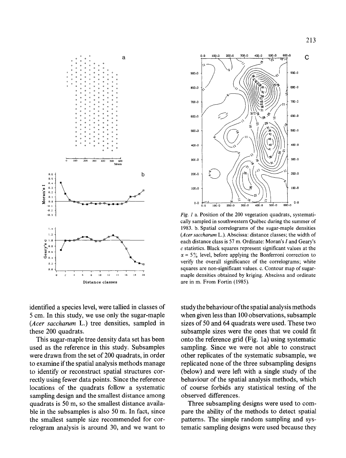

**identified a species level, were tallied in classes of 5 cm. In this study, we use only the sugar-maple**  *(Acer saccharum* **L.) tree densities, sampled in these 200 quadrats.** 

**This sugar-maple tree density data set has been used as the reference in this study. Subsamples were drawn from the set of 200 quadrats, in order to examine if the spatial analysis methods manage to identify or reconstruct spatial structures correctly using fewer data points. Since the reference locations of the quadrats follow a systematic sampling design and the smallest distance among quadrats is 50 m, so the smallest distance available in the subsamples is also 50 m. In fact, since the smallest sample size recommended for correlogram analysis is around 30, and we want to** 



*Fig.* **I a. Position of the 200 vegetation quadrats, systemati**cally sampled in southwestern Québec during the summer of **1983. b. Spatial correlograms of the sugar-maple densities**  *(Acer saccharum* **L.). Abscissa: distance classes; the width of each distance class is 57 m. Ordinate: Moran's I and Geary's c statistics. Black squares represent significant values at the**   $\alpha = 5\%$  level, before applying the Bonferroni correction to **verify the overall significance of the correlograms; white squares are non-significant values, c. Contour map of sugarmaple densities obtained by kriging. Abscissa and ordinate are in m. From Fortin (1985).** 

**study the behaviour of the spatial analysis methods when given less than 100 observations, subsample sizes of 50 and 64 quadrats were used. These two subsample sizes were the ones that we could fit onto the reference grid (Fig. la) using systematic sampling. Since we were not able to construct other replicates of the systematic subsample, we replicated none of the three subsampling designs (below) and were left with a single study of the behaviour of the spatial analysis methods, which of course forbids any statistical testing of the observed differences.** 

**Three subsampling designs were used to compare the ability of the methods to detect spatial patterns. The simple random sampling and systematic sampling designs were used because they**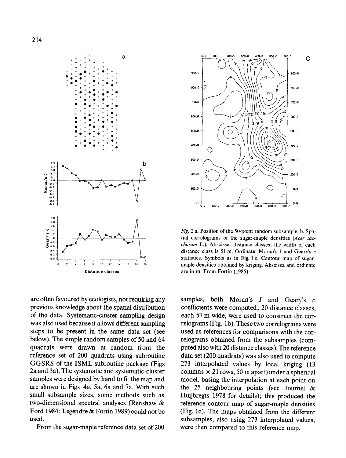



**From the sugar-maple reference data set of 200** 



*Fig.* **2 a. Position of the 50-point random subsample, b. Spatial correlograms of the sugar-maple densities** *(Acer saccharum* **L.). Abscissa: distance classes; the width of each distance class is 51 m. Ordinate: Moran's I and Geary's c statistics. Symbols as in Fig. 1 c. Contour map of sugarmaple densities obtained by kriging. Abscissa and ordinate are in m. From Fortin (1985).** 

**samples, both Moran's I and Geary's c coefficients were computed; 20 distance classes, each 57 m wide, were used to construct the correlograms (Fig. lb). These two correlograms were used as references for comparisons with the correlograms obtained from the subsamples (computed also with 20 distance classes). The reference data set (200 quadrats) was also used to compute 273 interpolated values by local kriging (13 columns × 21 rows, 50 m apart)under a spherical model, basing the interpolation at each point on the 25 neighbouring points (see Journel & Huijbregts 1978 for details); this produced the reference contour map of sugar-maple densities (Fig. lc). The maps obtained from the different subsamples, also using 273 interpolated values, were then compared to this reference map.**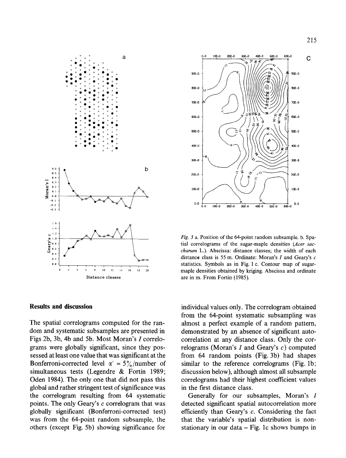



*Fig.* 3 a. **Position of the 64-point random subsample,** b. Spatial **correlograms of the sugar-maple densities** *(Acer saccharum* **L.). Abscissa: distance classes; the width of each distance class is** 55 m. **Ordinate: Moran's I and Geary's** c **statistics. Symbols as in Fig.** 1 c. **Contour map of sugarmaple densities obtained by kriging. Abscissa and ordinate are in m. From Fortin** (1985).

# **individual values only. The correlogram obtained from the 64-point systematic subsampling was almost a perfect example of a random pattern, demonstrated by an absence of significant autocorrelation at any distance class. Only the correlograms (Moran's I and Geary's c) computed from 64 random points (Fig. 3b) had shapes similar to the reference correlograms (Fig. lb; discussion below), although almost all subsample correlograms had their highest coefficient values in the first distance class.**

**Generally for our subsamples, Moran's I detected significant spatial autocorrelation more efficiently than Geary's c. Considering the fact that the variable's spatial distribution is nonstationary in our data- Fig. lc shows bumps in** 

### **Results and discussion**

**The spatial correlograms computed for the random and systematic subsamples are presented in Figs 2b, 3b, 4b and 5b. Most Moran's I correlograms were globally significant, since they possessed at least one value that was significant at the Bonferroni-corrected level**  $\alpha' = 5\frac{\alpha}{6}$ **/number of simultaneous tests (Legendre & Fortin 1989; Oden 1984). The only one that did not pass this global and rather stringent test of significance was the correlogram resulting from 64 systematic points. The only Geary's c correlogram that was globally significant (Bonferroni-corrected test) was from the 64-point random subsample, the others (except Fig. 5b) showing significance for**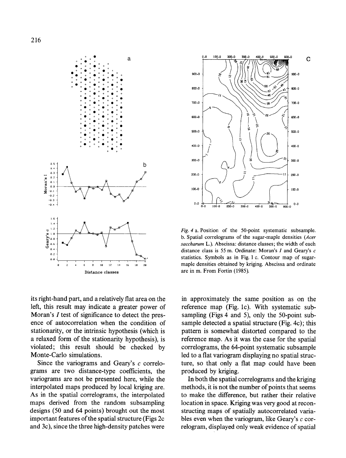



*Fig.* 4 a. Position of the 50-point **systematic subsample.**  b. **Spatial correlograms of the sugar-maple densities** *(Acer saccharum* **L.). Abscissa: distance classes; the width of each distance class is** 55 m. **Ordinate: Moran's I and Geary's** c **statistics. Symbols as in** Fig. 1 c. **Contour map of sugarmaple densities obtained by kriging. Abscissa and ordinate are in** m. From Fortin (1985).

**its right-hand part, and a relatively flat area on the left, this result may indicate a greater power of Moran's I test of significance to detect the presence of autocorrelation when the condition of stationarity, or the intrinsic hypothesis (which is a relaxed form of the stationarity hypothesis), is violated; this result should be checked by Monte-Carlo simulations.** 

**Since the variograms and Geary's c correlograms are two distance-type coefficients, the variograms are not be presented here, while the interpolated maps produced by local kriging are. As in the spatial correlograms, the interpolated maps derived from the random subsampling designs (50 and 64 points) brought out the most important features of the spatial structure (Figs 2c and 3c), since the three high-density patches were** 

**in approximately the same position as on the reference map (Fig. lc). With systematic subsampling (Figs 4 and 5), only the 50-point subsample detected a spatial structure (Fig. 4c); this pattern is somewhat distorted compared to the reference map. As it was the case for the spatial correlograms, the 64-point systematic subsample led to a flat variogram displaying no spatial structure, so that only a flat map could have been produced by kriging.** 

**In both the spatial correlograms and the kriging methods, it is not the number of points that seems to make the difference, but rather their relative location in space. Kriging was very good at reconstructing maps of spatially autocorrelated varia**bles even when the variogram, like Geary's c cor**relogram, displayed only weak evidence of spatial**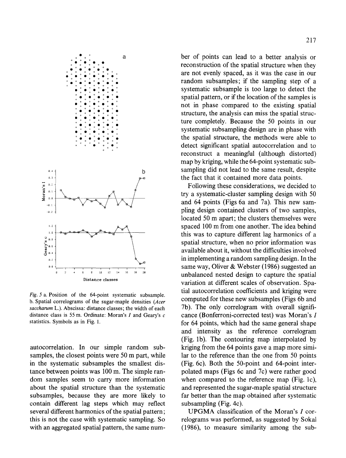

*Fig.* 5 a. Position of the 64-point systematic subsample. b. Spatial correlograms of the sugar-maple densities *(Acer saccharum* L.). Abscissa: distance classes; the width of each distance class is 55 m. Ordinate: Moran's I and Geary's c statistics. Symbols as in Fig. 1.

autocorrelation. In our simple random subsamples, the closest points were 50 m part, while in the systematic subsamples the smallest distance between points was 100 m. The simple random samples seem to carry more information about the spatial structure than the systematic subsamples, because they are more likely to contain different lag steps which may reflect several different harmonics of the spatial pattern; this is not the case with systematic sampling. So with an aggregated spatial pattern, the same number of points can lead to a better analysis or reconstruction of the spatial structure when they are not evenly spaced, as it was the case in our random subsamples; if the sampling step of a systematic subsample is too large to detect the spatial pattern, or if the location of the samples is not in phase compared to the existing spatial structure, the analysis can miss the spatial structure completely. Because the 50 points in our systematic subsampling design are in phase with the spatial structure, the methods were able to detect significant spatial autocorrelation and to reconstruct a meaningful (although distorted) map by kriging, while the 64-point systematic subsampling did not lead to the same result, despite the fact that it contained more data points.

Following these considerations, we decided to try a systematic-cluster sampling design with 50 and 64 points (Figs 6a and 7a). This new sampling design contained clusters of two samples, located 50 m apart; the clusters themselves were spaced 100 m from one another. The idea behind this was to capture different lag harmonics of a spatial structure, when no prior information was available about it, without the difficulties involved in implementing a random sampling design. In the same way, Oliver & Webster (1986) suggested an unbalanced nested design to capture the spatial variation at different scales of observation. Spatial autocorrelation coefficients and kriging were computed for these new subsamples (Figs 6b and 7b). The only correlogram with overall significance (Bonferroni-corrected test) was Moran's I for 64 points, which had the same general shape and intensity as the reference correlogram (Fig. lb). The contouring map interpolated by kriging from the 64 points gave a map more similar to the reference than the one from 50 points (Fig. 6c). Both the 50-point and 64-point interpolated maps (Figs 6c and 7c) were rather good when compared to the reference map (Fig. lc), and represented the sugar-maple spatial structure far better than the map obtained after systematic subsampling (Fig. 4c).

UPGMA classification of the Moran's I correlograms was performed, as suggested by Sokal (1986), to measure similarity among the sub-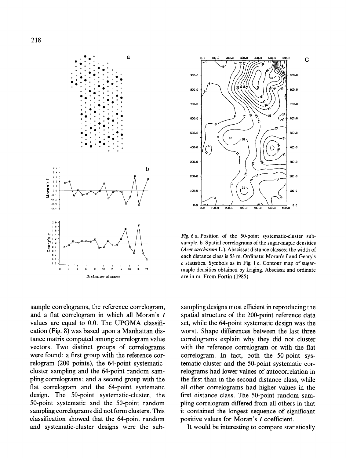

ă







*Fig.* 6 a. **Position of the 50-point systematic-cluster subsample, b. Spatial correlograms of the sugar-maple densities**  *(Acer saccharum* **L.). Abscissa: distance classes; the width of each distance class is** 53 m. **Ordinate: Moran's I and Geary's c statistics. Symbols as in Fig. 1 c. Contour map of sugarmaple densities obtained by kriging. Abscissa and ordinate are in m. From Fortin (1985)** 

**sampling designs most efficient in reproducing the spatial structure of the 200-point reference data set, while the 64-point systematic design was the worst. Shape differences between the last three correlograms explain why they did not cluster with the reference correlogram or with the flat correlogram. In fact, both the 50-point systematic-cluster and the 50-point systematic correlograms had lower values of autocorrelation in the first than in the second distance class, while all other correlograms had higher values in the first distance class. The 50-point random sampling correlogram differed from all others in that it contained the longest sequence of significant positive values for Moran's I coefficient.** 

**It would be interesting to compare statistically**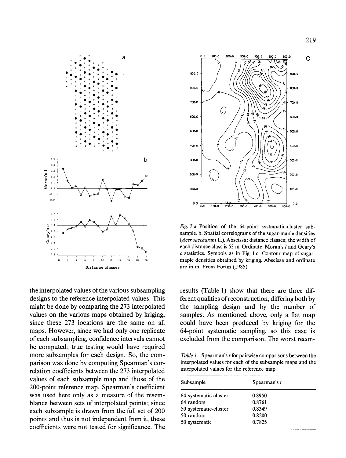

**the interpolated values of the various subsampling designs to the reference interpolated values. This might be done by comparing the 273 interpolated values on the various maps obtained by kriging, since these 273 locations are the same on all maps. However, since we had only one replicate of each subsampling, confidence intervals cannot be computed; true testing would have required more subsamples for each design. So, the comparison was done by computing Spearman's correlation coefficients between the 273 interpolated values of each subsample map and those of the 200-point reference map. Spearman's coefficient was used here only as a measure of the resemblance between sets of interpolated points; since each subsample is drawn from the full set of 200 points and thus is not independent from it, these coefficients were not tested for significance. The** 



*Fig.* 7 a. Position of the 64-point **systematic-cluster subsample, b. Spatial correlograms of the sugar-maple densities**  *(Acer saccharum* **L.). Abscissa: distance classes; the width** of **each distance class is** 53 m. **Ordinate: Moran's I and Geary's**  c **statistics. Symbols as in** Fig. 1 c. **Contour map of sugarmaple densities obtained by kriging. Abscissa and ordinate are in** m. From Fortin (1985)

**results (Table 1) show that there are three different qualities of reconstruction, differing both by the sampling design and by the number of samples. As mentioned above, only a fiat map could have been produced by kriging for the 64-point systematic sampling, so this case is excluded from the comparison. The worst recon-**

*Table 1.* **Spearman's r for pairwise comparisons between the interpolated values for each of the subsample maps and the interpolated values for the reference map.** 

| Subsample             | Spearman's r |  |
|-----------------------|--------------|--|
| 64 systematic-cluster | 0.8950       |  |
| 64 random             | 0.8761       |  |
| 50 systematic-cluster | 0.8349       |  |
| 50 random             | 0.8200       |  |
| 50 systematic         | 0.7825       |  |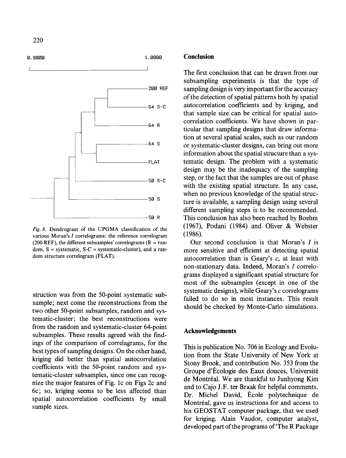





*Fig. 8.* Dendrogram of the UPGMA classification of the various Moran's I correlograms: the reference correlogram (200 REF), the different subsamples' correlograms ( $R = ran$ dom,  $S =$  systematic,  $S-C =$  systematic-cluster), and a random structure correlogram (FLAT).

struction was from the 50-point systematic subsample; next come the reconstructions from the two other 50-point subsamples, random and systematic-cluster; the best reconstructions were from the random and systematic-cluster 64-point subsamples. These results agreed with the findings of the comparison of correlagrams, for the best types of sampling designs. On the other hand, kriging did better than spatial autocorrelation coefficients with the 50-point random and systematic-cluster subsamples, since one can recognize the major features of Fig. lc on Figs 2c and 6c; so, kriging seems to be less affected than spatial autocorrelation coefficients by small sample sizes.

#### **Conclusion**

The first conclusion that can be drawn from our subsampling experiments is that the type of sampling design is very important for the accuracy of the detection of spatial patterns both by spatial autocorrelation coefficients and by kriging, and that sample size can be critical for spatial autocorrelation coefficients. We have shown in particular that sampling designs that draw information at several spatial scales, such as our random or systematic-cluster designs, can bring out more information about the spatial structure than a systematic design. The problem with a systematic design may be the inadequacy of the sampling step, or the fact that the samples are out of phase with the existing spatial structure. In any case, when no previous knowledge of the spatial structure is available, a sampling design using several different sampling steps is to be recommended. This conclusion has also been reached by Boehm (1967), Podani (1984) and Oliver & Webster (1986).

Our second conclusion is that Moran's  $I$  is more sensitive and efficient at detecting spatial autocorrelation than is Geary's c, at least with non-stationary data. Indeed, Moran's I correlograms displayed a significant spatial structure for most of the subsamples (except in one of the systematic designs), while Geary's  $c$  correlograms failed to do so in most instances. This result should be checked by Monte-Carlo simulations.

### **Acknowledgements**

This is publication No. 706 in Ecology and Evolution from the State University of New York at Stony Brook, and contribution No. 353 from the Groupe d'Écologie des Eaux douces, Université de Montréal. We are thankful to Junhyong Kim and to Cajo J.F. ter Braak for helpful comments. Dr. Michel David, École polytechnique de Montréal, gave us instructions for and access to his GEOSTAT computer package, that we used for kriging. Alain Vaudor, computer analyst, developed part of the programs of'The R Package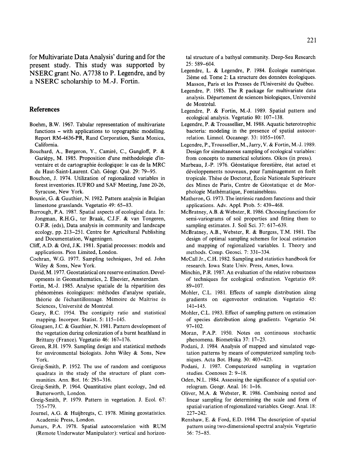for Multivariate Data Analysis' during and for the present study. This study was supported by NSERC grant No. A7738 to P. Legendre, and by a NSERC scholarship to M.-J. Fortin.

#### **References**

- Boehm, B.W. 1967. Tabular representation of multivariate functions – with applications to topographic modelling. Report RM-4636-PR, Rand Corporation, Santa Monica, California.
- Bouchard, A., Bergeron, Y., Camiré, C., Gangloff, P. & Gariépy, M. 1985. Proposition d'une méthodologie d'inventaire et de cartographie écologique: le cas de la MRC du Haut-Saint-Laurent. Cah. Géogr. Qué. 29: 79-95.
- Bouchon, J. 1974. Utilization of regionalized variables in forest inventories. IUFRO and SAF Meeting, June 20-26, Syracuse, New York.
- Bouxin, G. & Gauthier, N. 1982. Pattern analysis in Belgian limestone grasslands. Vegetatio 49: 65-83.
- Burrough, P.A. 1987. Spatial aspects of ecological data. In: Jongman, R.H.G., ter Braak, C.J.F. & van Tongeren, O.F.R. (eds), Data analysis in community and landscape ecology, pp. 213-251. Centre for Agricultural Publishing and Documentation, Wageningen.
- Cliff, A.D. & Ord, J.K. 1981. Spatial processes: models and applications. Pion Limited, London.
- Cochran, W.G. 1977. Sampling techniques, 3rd ed. John Wiley & Sons, New York.
- David, M. 1977. Geostatistical ore reserve estimation. Developments in Geomathematics, 2. Elsevier, Amsterdam.
- Fortin, M.-J. 1985. Analyse spatiale de la répartition des phénomènes écologiques: méthodes d'analyse spatiale, théorie de l'échantillonnage. Mémoire de Maîtrise ès Sciences, Université de Montréal.
- Geary, R.C. 1954. The contiguity ratio and statistical mapping. Incorpor. Statist. 5: 115-145.
- Gloaguen, J.C. & Gauthier, N. 1981. Pattern development of the vegetation during colonization of a burnt heathland in Brittany (France). Vegetatio 46: 167-176.
- Green, R.H. 1979. Sampling design and statistical methods for environmental biologists. John Wiley & Sons, New York.
- Greig-Smith, P. 1952. The use of random and contiguous quadrats in the study of the structure of plant communities. Ann. Bot. 16: 293-316.
- Greig-Smith, P. 1964. Quantitative plant ecology, 2nd ed. Butterworth, London.
- Greig-Smith, P. 1979. Pattern in vegetation. J. Ecol. 67: 755-779.
- Journel, A.G. & Huijbregts, C. 1978. Mining geostatistics. Academic Press, London.
- Jumars, P.A. 1978. Spatial autocorrelation with RUM (Remote Underwater Manipulator): vertical and horizon-

tal structure of a bathyal community. Deep-Sea Research 25: 589-604.

- Legendre, L. & Legendre, P. 1984. Écologie numérique. 2ième ed. Tome 2: La structure des données écologiques. Masson, Paris et les Presses de l'Université du Québec.
- Legendre, P. 1985. The R package for multivariate data analysis. Département de sciences biologiques, Université de Montréal.
- Legendre, P. & Fortin, M.-J. 1989. Spatial pattern and ecological analysis. Vegetatio 80: 107-138.
- Legendre, P. & Troussellier, M. 1988. Aquatic heterotrophic bacteria: modeling in the presence of spatial autocorrelation. Limnol. Oceanogr. 33: 1055-1067.
- Legendre, P., Troussellier, M., Jarry, V. & Fortin, M.-J. 1989. Design for simultaneous sampling of ecological variables: from concepts to numerical solutions. Oikos (in press).
- Marbeau, J.-P. 1976. Géostatique forestière, état actuel et développements nouveaux, pour l'aménagement en forêt tropicale. Thèse de Doctorat, École Nationale Supérieure des Mines de Paris, Centre de Géostatique et de Morphologie Mathématique, Fontainebleau.
- Matheron, G. 1973. The intrinsic random functions and their applications. Adv. Appl. Prob. 5: 439-468.
- McBratney, A.B. & Webster, R. 1986. Choosing functions for semi-variograms of soil properties and fitting them to sampling estimates. J. Soil Sci. 37: 617-639.
- McBratney, A.B., Webster, R. & Burgess, T.M. 1981. The design of optimal sampling schemes for local estimation and mapping of regionalized variables. I. Theory and methods. Comp. Geosci. 7: 331-334.
- McCall Jr., C.H. 1982. Sampling and statistics handbook for research. Iowa State Univ. Press, Ames, Iowa.
- Minchin, P.R. 1987. An evaluation of the relative robustness of techniques for ecological ordination. Vegetatio 69: 89-107.
- Mohler, C.L. 1981. Effects of sample distribution along gradients on eigenvector ordination. Vegetatio 45: 141-145.
- Mohler, C.L. 1983. Effect of sampling pattern on estimation of species distribution along gradients. Vegetatio 54: 97-102.
- Moran, P.A.P. 1950. Notes on continuous stochastic phenomena. Biometrika 37: 17-23.
- Podani, J. 1984. Analysis of mapped and simulated vegetation patterns by means of computerized sampling techniques. Acta Bot. Hung. 30: 403-425.
- Podani, J. 1987. Computerized sampling in vegetation studies. Coenoses 2: 9-18.
- Oden, N.L. 1984. Assessing the significance of a spatial correlogram. Geogr. Anal. 16: 1-16.
- Oliver, M.A. & Webster, R. 1986. Combining nested and linear sampling for determining the scale and form of spatial variation ofregionalized variables. Geogr. Anal. 18: 227-242.
- Renshaw, E. & Ford, E.D. 1984. The description of spatial pattern using two-dimensional spectral analysis. Vegetatio 56: 75-85.